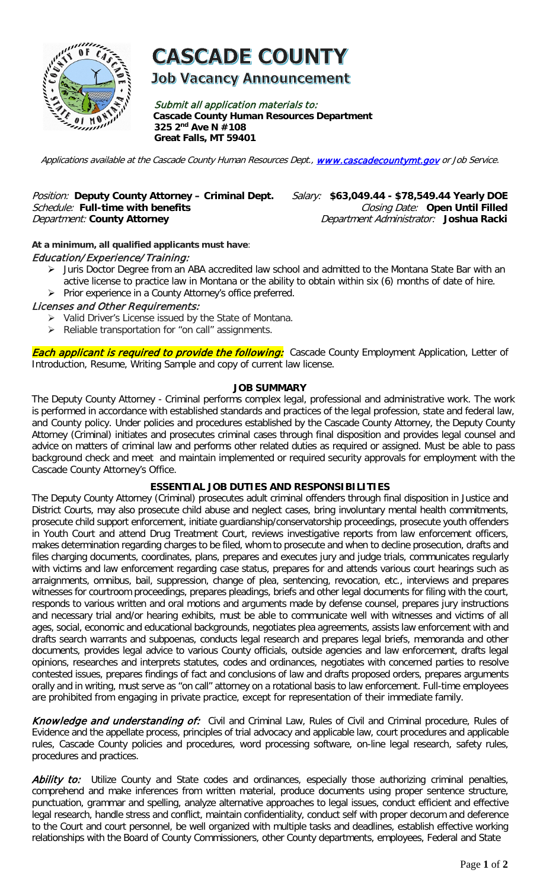

# **CASCADE COUNTY**

**Job Vacancy Announcement** 

Submit all application materials to: **Cascade County Human Resources Department 325 2nd Ave N #108 Great Falls, MT 59401** 

Applications available at the Cascade County Human Resources Dept., [www.cascadecountymt.gov](http://www.cascadecountymt.gov/) or Job Service.

## Position: **Deputy County Attorney – Criminal Dept.** Salary: **\$63,049.44 - \$78,549.44 Yearly DOE**  Schedule: Full-time with benefits<br>Department: County Attorney

Department Administrator: Joshua Racki

#### **At a minimum, all qualified applicants must have**:

#### Education/ Experience/ Training:

- > Juris Doctor Degree from an ABA accredited law school and admitted to the Montana State Bar with an active license to practice law in Montana or the ability to obtain within six (6) months of date of hire.
- $\triangleright$  Prior experience in a County Attorney's office preferred.

#### Licenses and Other Requirements:

- $\triangleright$  Valid Driver's License issued by the State of Montana.
- $\triangleright$  Reliable transportation for "on call" assignments.

**Each applicant is required to provide the following:** Cascade County Employment Application, Letter of Introduction, Resume, Writing Sample and copy of current law license.

#### **JOB SUMMARY**

The Deputy County Attorney - Criminal performs complex legal, professional and administrative work. The work is performed in accordance with established standards and practices of the legal profession, state and federal law, and County policy. Under policies and procedures established by the Cascade County Attorney, the Deputy County Attorney (Criminal) initiates and prosecutes criminal cases through final disposition and provides legal counsel and advice on matters of criminal law and performs other related duties as required or assigned. Must be able to pass background check and meet and maintain implemented or required security approvals for employment with the Cascade County Attorney's Office.

#### **ESSENTIAL JOB DUTIES AND RESPONSIBILITIES**

The Deputy County Attorney (Criminal) prosecutes adult criminal offenders through final disposition in Justice and District Courts, may also prosecute child abuse and neglect cases, bring involuntary mental health commitments, prosecute child support enforcement, initiate guardianship/conservatorship proceedings, prosecute youth offenders in Youth Court and attend Drug Treatment Court, reviews investigative reports from law enforcement officers, makes determination regarding charges to be filed, whom to prosecute and when to decline prosecution, drafts and files charging documents, coordinates, plans, prepares and executes jury and judge trials, communicates regularly with victims and law enforcement regarding case status, prepares for and attends various court hearings such as arraignments, omnibus, bail, suppression, change of plea, sentencing, revocation, etc., interviews and prepares witnesses for courtroom proceedings, prepares pleadings, briefs and other legal documents for filing with the court, responds to various written and oral motions and arguments made by defense counsel, prepares jury instructions and necessary trial and/or hearing exhibits, must be able to communicate well with witnesses and victims of all ages, social, economic and educational backgrounds, negotiates plea agreements, assists law enforcement with and drafts search warrants and subpoenas, conducts legal research and prepares legal briefs, memoranda and other documents, provides legal advice to various County officials, outside agencies and law enforcement, drafts legal opinions, researches and interprets statutes, codes and ordinances, negotiates with concerned parties to resolve contested issues, prepares findings of fact and conclusions of law and drafts proposed orders, prepares arguments orally and in writing, must serve as "on call" attorney on a rotational basis to law enforcement. Full-time employees are prohibited from engaging in private practice, except for representation of their immediate family.

Knowledge and understanding of: Civil and Criminal Law, Rules of Civil and Criminal procedure, Rules of Evidence and the appellate process, principles of trial advocacy and applicable law, court procedures and applicable rules, Cascade County policies and procedures, word processing software, on-line legal research, safety rules, procedures and practices.

Ability to: Utilize County and State codes and ordinances, especially those authorizing criminal penalties, comprehend and make inferences from written material, produce documents using proper sentence structure, punctuation, grammar and spelling, analyze alternative approaches to legal issues, conduct efficient and effective legal research, handle stress and conflict, maintain confidentiality, conduct self with proper decorum and deference to the Court and court personnel, be well organized with multiple tasks and deadlines, establish effective working relationships with the Board of County Commissioners, other County departments, employees, Federal and State